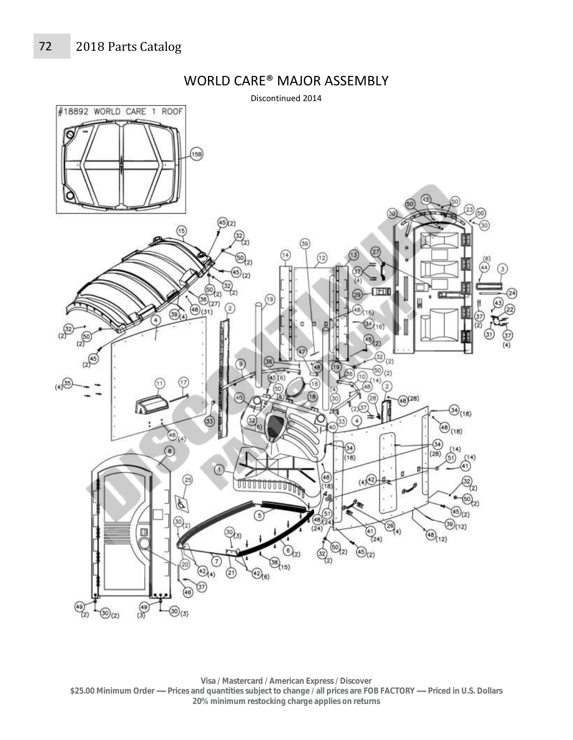

## WORLD CARE® MAJOR ASSEMBLY

**Visa / Mastercard / American Express / Discover \$25.00 Minimum Order ----- Prices and quantities subject to change / all prices are FOB FACTORY ----- Priced in U.S. Dollars 20% minimum restocking charge applies on returns**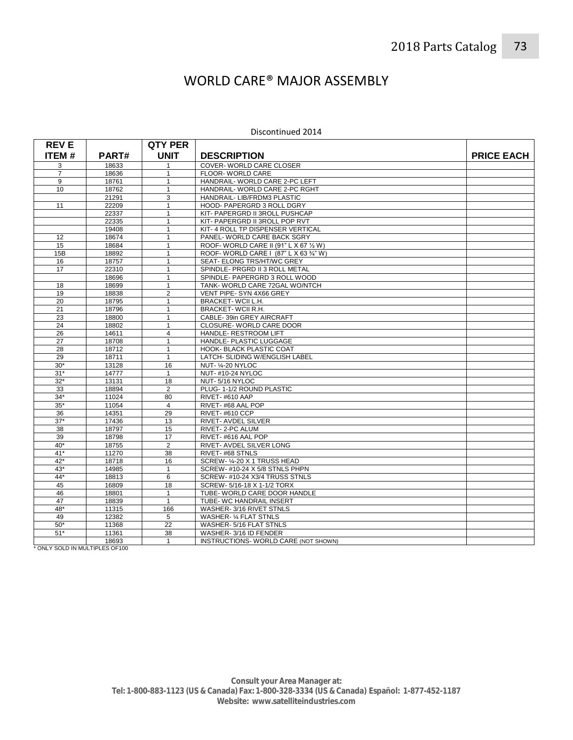## WORLD CARE® MAJOR ASSEMBLY

## Discontinued 2014

| <b>REVE</b>     |                | <b>QTY PER</b>               |                                                          |                   |
|-----------------|----------------|------------------------------|----------------------------------------------------------|-------------------|
| <b>ITEM#</b>    | PART#          | <b>UNIT</b>                  | <b>DESCRIPTION</b>                                       | <b>PRICE EACH</b> |
| 3               | 18633          | 1                            | COVER-WORLD CARE CLOSER                                  |                   |
| $\overline{7}$  | 18636          | 1                            | FLOOR-WORLD CARE                                         |                   |
| 9               | 18761          | $\mathbf{1}$                 | HANDRAIL-WORLD CARE 2-PC LEFT                            |                   |
| 10 <sup>1</sup> | 18762          | 1                            | HANDRAIL- WORLD CARE 2-PC RGHT                           |                   |
|                 | 21291          | 3                            | HANDRAIL- LIB/FRDM3 PLASTIC                              |                   |
| 11              | 22209          | $\mathbf{1}$                 | HOOD- PAPERGRD 3 ROLL DGRY                               |                   |
|                 | 22337          | $\mathbf{1}$                 | KIT- PAPERGRD II 3ROLL PUSHCAP                           |                   |
|                 | 22335          | $\mathbf{1}$                 | KIT- PAPERGRD II 3ROLL POP RVT                           |                   |
|                 | 19408          | 1                            | KIT- 4 ROLL TP DISPENSER VERTICAL                        |                   |
| 12              | 18674          | $\mathbf{1}$                 | PANEL- WORLD CARE BACK SGRY                              |                   |
| 15              | 18684          | 1                            | ROOF- WORLD CARE II (91" L X 67 1/2 W)                   |                   |
| 15B             | 18892          | $\mathbf{1}$                 | ROOF-WORLD CARE   (87" L X 63 3/4" W)                    |                   |
| 16              | 18757          | 1                            | SEAT- ELONG TRS/HT/WC GREY                               |                   |
| 17              | 22310          | $\mathbf{1}$                 | SPINDLE- PRGRD II 3 ROLL METAL                           |                   |
|                 | 18696          | 1                            | SPINDLE- PAPERGRD 3 ROLL WOOD                            |                   |
| 18              | 18699          | $\mathbf{1}$                 | TANK-WORLD CARE 72GAL WO/NTCH                            |                   |
| 19              | 18838          | $\overline{2}$               | VENT PIPE- SYN 4X66 GREY                                 |                   |
| 20              | 18795          | $\mathbf{1}$                 | BRACKET-WCII L.H.                                        |                   |
| 21              | 18796          | 1                            | <b>BRACKET-WCILR.H.</b>                                  |                   |
| 23              | 18800          | $\mathbf{1}$                 | CABLE-39in GREY AIRCRAFT                                 |                   |
| 24              | 18802          | 1                            | CLOSURE- WORLD CARE DOOR                                 |                   |
| 26              | 14611          | 4                            | HANDLE- RESTROOM LIFT                                    |                   |
| 27              | 18708          | $\mathbf{1}$                 | HANDLE- PLASTIC LUGGAGE                                  |                   |
| 28              | 18712          | $\mathbf{1}$                 | HOOK- BLACK PLASTIC COAT                                 |                   |
| 29              | 18711          | $\mathbf{1}$                 | LATCH- SLIDING W/ENGLISH LABEL                           |                   |
| $30*$           | 13128          | 16                           | NUT-1/4-20 NYLOC                                         |                   |
| $31*$           | 14777          | $\mathbf{1}$                 | <b>NUT-#10-24 NYLOC</b>                                  |                   |
| $32*$           | 13131          | 18                           | NUT-5/16 NYLOC                                           |                   |
| 33              | 18894          | $\overline{2}$               | PLUG-1-1/2 ROUND PLASTIC                                 |                   |
| $34*$           | 11024          | 80                           | RIVET-#610 AAP                                           |                   |
| $35*$           | 11054          | $\overline{4}$               | RIVET-#68 AAL POP                                        |                   |
| 36              | 14351          | 29                           | RIVET-#610 CCP                                           |                   |
| $37*$           | 17436          | 13                           | RIVET- AVDEL SILVER                                      |                   |
| 38              | 18797          | 15                           | RIVET-2-PC ALUM                                          |                   |
| 39              | 18798          | 17                           | RIVET-#616 AAL POP                                       |                   |
| $40*$           | 18755          | $\overline{2}$               | RIVET- AVDEL SILVER LONG                                 |                   |
| $41*$           | 11270          | 38                           | RIVET-#68 STNLS                                          |                   |
| $42*$           | 18718          | 16                           | SCREW- 1/4-20 X 1 TRUSS HEAD                             |                   |
| $43*$           | 14985          | $\mathbf{1}$                 | SCREW-#10-24 X 5/8 STNLS PHPN                            |                   |
| $44*$           | 18813          | 6                            | SCREW-#10-24 X3/4 TRUSS STNLS                            |                   |
| 45              | 16809          | 18                           | SCREW-5/16-18 X 1-1/2 TORX                               |                   |
| 46              | 18801          | $\mathbf{1}$<br>$\mathbf{1}$ | TUBE- WORLD CARE DOOR HANDLE                             |                   |
| 47              | 18839          |                              | TUBE- WC HANDRAIL INSERT                                 |                   |
| 48*<br>49       | 11315<br>12382 | 166<br>5                     | WASHER-3/16 RIVET STNLS<br><b>WASHER- 1/4 FLAT STNLS</b> |                   |
| $50*$           | 11368          | 22                           | WASHER-5/16 FLAT STNLS                                   |                   |
| $51*$           | 11361          | 38                           | WASHER-3/16 ID FENDER                                    |                   |
|                 | 18693          | $\mathbf{1}$                 | INSTRUCTIONS- WORLD CARE (NOT SHOWN)                     |                   |
|                 |                |                              |                                                          |                   |

\* ONLY SOLD IN MULTIPLES OF100